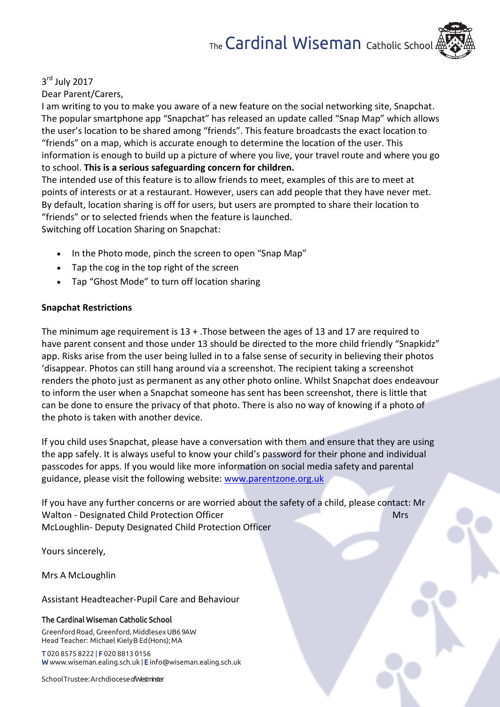## 3<sup>rd</sup> July 2017 Dear Parent/Carers,

I am writing to you to make you aware of a new feature on the social networking site, Snapchat. The popular smartphone app "Snapchat" has released an update called "Snap Map" which allows the user's location to be shared among "friends". This feature broadcasts the exact location to "friends" on a map, which is accurate enough to determine the location of the user. This information is enough to build up a picture of where you live, your travel route and where you go to school. **This is a serious safeguarding concern for children.**

The intended use of this feature is to allow friends to meet, examples of this are to meet at points of interests or at a restaurant. However, users can add people that they have never met. By default, location sharing is off for users, but users are prompted to share their location to "friends" or to selected friends when the feature is launched. Switching off Location Sharing on Snapchat:

- In the Photo mode, pinch the screen to open "Snap Map"
- Tap the cog in the top right of the screen
- Tap "Ghost Mode" to turn off location sharing

## **Snapchat Restrictions**

The minimum age requirement is 13 + .Those between the ages of 13 and 17 are required to have parent consent and those under 13 should be directed to the more child friendly "Snapkidz" app. Risks arise from the user being lulled in to a false sense of security in believing their photos 'disappear. Photos can still hang around via a screenshot. The recipient taking a screenshot renders the photo just as permanent as any other photo online. Whilst Snapchat does endeavour to inform the user when a Snapchat someone has sent has been screenshot, there is little that can be done to ensure the privacy of that photo. There is also no way of knowing if a photo of the photo is taken with another device.

If you child uses Snapchat, please have a conversation with them and ensure that they are using the app safely. It is always useful to know your child's password for their phone and individual passcodes for apps. If you would like more information on social media safety and parental guidance, please visit the following website: [www.parentzone.org.uk](http://www.parentzone.org.uk/)

If you have any further concerns or are worried about the safety of a child, please contact: Mr Walton - Designated Child Protection Officer Mrs McLoughlin- Deputy Designated Child Protection Officer

Yours sincerely,

Mrs A McLoughlin

Assistant Headteacher-Pupil Care and Behaviour

## The Cardinal Wiseman Catholic School

Greenford Road, Greenford, Middlesex UB6 9AW Head Teacher: Michael KielyB Ed(Hons); MA

T 020 8575 8222 | F 020 8813 0156 [W www.wiseman.ealing.sch.uk](http://www.wiseman.ealing.sch.uk/) | [E info@wiseman.ealing.sch.uk](mailto:info@wiseman.ealing.sch.uk)

SchoolTrustee: Archdiocese of Westminster